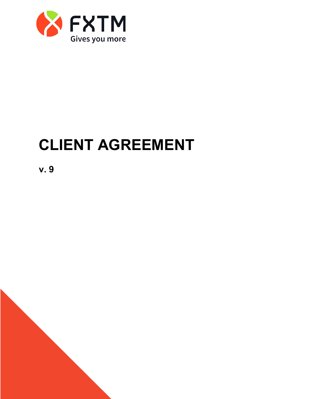

# **CLIENT AGREEMENT**

**v. 9**

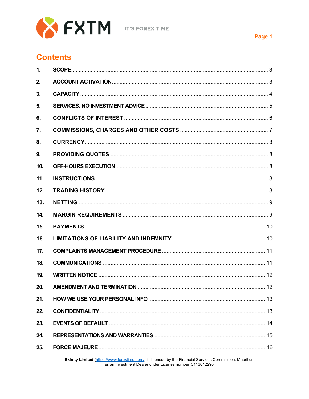

### **Contents**

| $\mathbf{1}$ . |  |
|----------------|--|
| 2.             |  |
| 3.             |  |
| 5.             |  |
| 6.             |  |
| 7.             |  |
| 8.             |  |
| 9.             |  |
| 10.            |  |
| 11.            |  |
| 12.            |  |
| 13.            |  |
| 14.            |  |
| 15.            |  |
| 16.            |  |
| 17.            |  |
| 18.            |  |
| 19.            |  |
| 20.            |  |
| 21.            |  |
| 22.            |  |
| 23.            |  |
| 24.            |  |
| 25.            |  |

Exinity Limited (https://www.forextime.com/) is licensed by the Financial Services Commission, Mauritius as an Investment Dealer under License number C113012295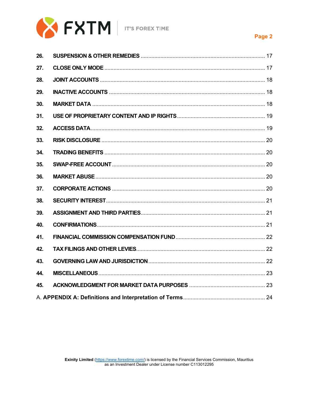

#### Page 2

| 26. |  |
|-----|--|
| 27. |  |
| 28. |  |
| 29. |  |
| 30. |  |
| 31. |  |
| 32. |  |
| 33. |  |
| 34. |  |
| 35. |  |
| 36. |  |
| 37. |  |
| 38. |  |
| 39. |  |
| 40. |  |
| 41. |  |
| 42. |  |
| 43. |  |
| 44. |  |
| 45. |  |
|     |  |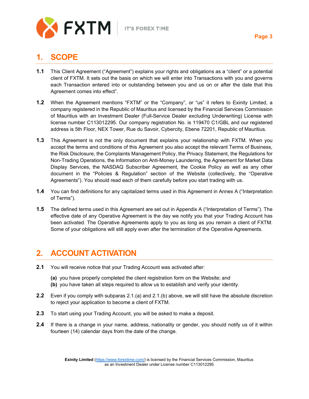

### <span id="page-3-0"></span>**1. SCOPE**

- **1.1** This Client Agreement ("Agreement") explains your rights and obligations as a "client" or a potential client of FXTM. It sets out the basis on which we will enter into Transactions with you and governs each Transaction entered into or outstanding between you and us on or after the date that this Agreement comes into effect".
- **1.2** When the Agreement mentions "FXTM" or the "Company", or "us" it refers to Exinity Limited, a company registered in the Republic of Mauritius and licensed by the Financial Services Commission of Mauritius with an Investment Dealer (Full-Service Dealer excluding Underwriting) License with license number C113012295. Our company registration No. is 119470 C1/GBL and our registered address is 5th Floor, NEX Tower, Rue du Savoir, Cybercity, Ebene 72201, Republic of Mauritius.
- **1.3** This Agreement is not the only document that explains your relationship with FXTM. When you accept the terms and conditions of this Agreement you also accept the relevant Terms of Business, the Risk Disclosure, the Complaints Management Policy, the Privacy Statement, the Regulations for Non-Trading Operations, the Information on Anti-Money Laundering, the Agreement for Market Data Display Services, the NASDAQ Subscriber Agreement, the Cookie Policy as well as any other document in the "Policies & Regulation" section of the Website (collectively, the "Operative Agreements"). You should read each of them carefully before you start trading with us.
- **1.4** You can find definitions for any capitalized terms used in this Agreement in Annex A ("Interpretation of Terms").
- **1.5** The defined terms used in this Agreement are set out in Appendix A ("Interpretation of Terms"). The effective date of any Operative Agreement is the day we notify you that your Trading Account has been activated. The Operative Agreements apply to you as long as you remain a client of FXTM. Some of your obligations will still apply even after the termination of the Operative Agreements.

### <span id="page-3-1"></span>**2. ACCOUNT ACTIVATION**

- **2.1** You will receive notice that your Trading Account was activated after:
	- **(a)** you have properly completed the client registration form on the Website; and
	- **(b)** you have taken all steps required to allow us to establish and verify your identity.
- **2.2** Even if you comply with subparas 2.1.(a) and 2.1.(b) above, we will still have the absolute discretion to reject your application to become a client of FXTM.
- **2.3** To start using your Trading Account, you will be asked to make a deposit.
- **2.4** If there is a change in your name, address, nationality or gender, you should notify us of it within fourteen (14) calendar days from the date of the change.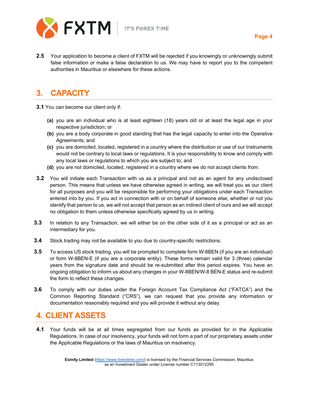

**2.5** Your application to become a client of FXTM will be rejected if you knowingly or unknowingly submit false information or make a false declaration to us. We may have to report you to the competent authorities in Mauritius or elsewhere for these actions.

## <span id="page-4-0"></span>**3. CAPACITY**

- **3.1** You can become our client only if:
	- **(a)** you are an individual who is at least eighteen (18) years old or at least the legal age in your respective jurisdiction; or
	- **(b)** you are a body corporate in good standing that has the legal capacity to enter into the Operative Agreements; and
	- **(c)** you are domiciled, located, registered in a country where the distribution or use of our Instruments would not be contrary to local laws or regulations. It is your responsibility to know and comply with any local laws or regulations to which you are subject to; and
	- **(d)** you are not domiciled, located, registered in a country where we do not accept clients from.
- **3.2** You will initiate each Transaction with us as a principal and not as an agent for any undisclosed person. This means that unless we have otherwise agreed in writing, we will treat you as our client for all purposes and you will be responsible for performing your obligations under each Transaction entered into by you. If you act in connection with or on behalf of someone else, whether or not you identify that person to us, we will not accept that person as an indirect client of ours and we will accept no obligation to them unless otherwise specifically agreed by us in writing.
- **3.3** In relation to any Transaction, we will either be on the other side of it as a principal or act as an intermediary for you.
- **3.4** Stock trading may not be available to you due to country-specific restrictions.
- **3.5** To access US stock trading, you will be prompted to complete form W-8BEN (if you are an individual) or form W-8BEN-E (if you are a corporate entity). These forms remain valid for 3 (three) calendar years from the signature date and should be re-submitted after this period expires. You have an ongoing obligation to inform us about any changes in your W-8BEN/W-8 BEN-E status and re-submit the form to reflect these changes.
- **3.6** To comply with our duties under the Foreign Account Tax Compliance Act ("FATCA") and the Common Reporting Standard ("CRS"), we can request that you provide any information or documentation reasonably required and you will provide it without any delay.

### **4. CLIENT ASSETS**

**4.1** Your funds will be at all times segregated from our funds as provided for in the Applicable Regulations. In case of our insolvency, your funds will not form a part of our proprietary assets under the Applicable Regulations or the laws of Mauritius on insolvency.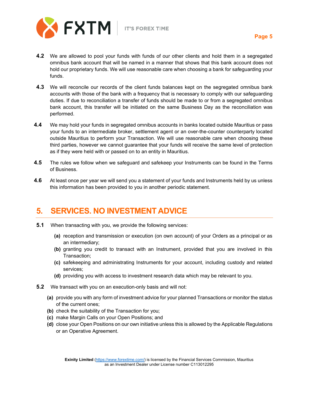

- **4.2** We are allowed to pool your funds with funds of our other clients and hold them in a segregated omnibus bank account that will be named in a manner that shows that this bank account does not hold our proprietary funds. We will use reasonable care when choosing a bank for safeguarding your funds.
- **4.3** We will reconcile our records of the client funds balances kept on the segregated omnibus bank accounts with those of the bank with a frequency that is necessary to comply with our safeguarding duties. If due to reconciliation a transfer of funds should be made to or from a segregated omnibus bank account, this transfer will be initiated on the same Business Day as the reconciliation was performed.
- **4.4** We may hold your funds in segregated omnibus accounts in banks located outside Mauritius or pass your funds to an intermediate broker, settlement agent or an over-the-counter counterparty located outside Mauritius to perform your Transaction. We will use reasonable care when choosing these third parties, however we cannot guarantee that your funds will receive the same level of protection as if they were held with or passed on to an entity in Mauritius.
- **4.5** The rules we follow when we safeguard and safekeep your Instruments can be found in the Terms of Business.
- **4.6** At least once per year we will send you a statement of your funds and Instruments held by us unless this information has been provided to you in another periodic statement.

#### <span id="page-5-0"></span>**5. SERVICES. NO INVESTMENT ADVICE**

- **5.1** When transacting with you, we provide the following services:
	- **(a)** reception and transmission or execution (on own account) of your Orders as a principal or as an intermediary;
	- **(b)** granting you credit to transact with an Instrument, provided that you are involved in this Transaction;
	- **(c)** safekeeping and administrating Instruments for your account, including custody and related services;
	- **(d)** providing you with access to investment research data which may be relevant to you.
- **5.2** We transact with you on an execution-only basis and will not:
	- **(a)** provide you with any form of investment advice for your planned Transactions or monitor the status of the current ones;
	- **(b)** check the suitability of the Transaction for you;
	- **(c)** make Margin Calls on your Open Positions; and
	- **(d)** close your Open Positions on our own initiative unless this is allowed by the Applicable Regulations or an Operative Agreement.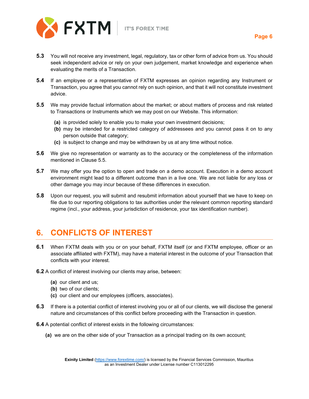

- **Page 6**
- **5.3** You will not receive any investment, legal, regulatory, tax or other form of advice from us. You should seek independent advice or rely on your own judgement, market knowledge and experience when evaluating the merits of a Transaction.
- **5.4** If an employee or a representative of FXTM expresses an opinion regarding any Instrument or Transaction, you agree that you cannot rely on such opinion, and that it will not constitute investment advice.
- **5.5** We may provide factual information about the market; or about matters of process and risk related to Transactions or Instruments which we may post on our Website. This information:
	- **(a)** is provided solely to enable you to make your own investment decisions;
	- **(b)** may be intended for a restricted category of addressees and you cannot pass it on to any person outside that category;
	- **(c)** is subject to change and may be withdrawn by us at any time without notice.
- **5.6** We give no representation or warranty as to the accuracy or the completeness of the information mentioned in Clause 5.5.
- **5.7** We may offer you the option to open and trade on a demo account. Execution in a demo account environment might lead to a different outcome than in a live one. We are not liable for any loss or other damage you may incur because of these differences in execution.
- **5.8** Upon our request, you will submit and resubmit information about yourself that we have to keep on file due to our reporting obligations to tax authorities under the relevant common reporting standard regime (incl., your address, your jurisdiction of residence, your tax identification number).

# <span id="page-6-0"></span>**6. CONFLICTS OF INTEREST**

- **6.1** When FXTM deals with you or on your behalf, FXTM itself (or and FXTM employee, officer or an associate affiliated with FXTM), may have a material interest in the outcome of your Transaction that conflicts with your interest.
- **6.2** A conflict of interest involving our clients may arise, between:
	- **(a)** our client and us;
	- **(b)** two of our clients;
	- **(c)** our client and our employees (officers, associates).
- **6.3** If there is a potential conflict of interest involving you or all of our clients, we will disclose the general nature and circumstances of this conflict before proceeding with the Transaction in question.
- **6.4** A potential conflict of interest exists in the following circumstances:
	- **(a)** we are on the other side of your Transaction as a principal trading on its own account;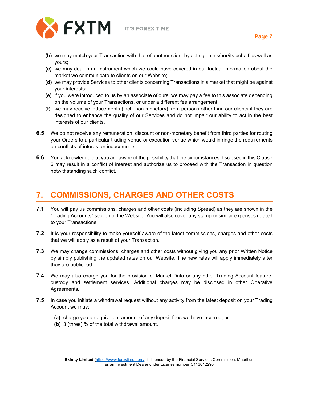

- **(b)** we may match your Transaction with that of another client by acting on his/her/its behalf as well as yours;
- **(c)** we may deal in an Instrument which we could have covered in our factual information about the market we communicate to clients on our Website;
- **(d)** we may provide Services to other clients concerning Transactions in a market that might be against your interests;
- **(e)** if you were introduced to us by an associate of ours, we may pay a fee to this associate depending on the volume of your Transactions, or under a different fee arrangement;
- **(f)** we may receive inducements (incl., non-monetary) from persons other than our clients if they are designed to enhance the quality of our Services and do not impair our ability to act in the best interests of our clients.
- **6.5** We do not receive any remuneration, discount or non-monetary benefit from third parties for routing your Orders to a particular trading venue or execution venue which would infringe the requirements on conflicts of interest or inducements.
- **6.6** You acknowledge that you are aware of the possibility that the circumstances disclosed in this Clause 6 may result in a conflict of interest and authorize us to proceed with the Transaction in question notwithstanding such conflict.

# <span id="page-7-0"></span>**7. COMMISSIONS, CHARGES AND OTHER COSTS**

- **7.1** You will pay us commissions, charges and other costs (including Spread) as they are shown in the "Trading Accounts" section of the Website. You will also cover any stamp or similar expenses related to your Transactions.
- **7.2** It is your responsibility to make yourself aware of the latest commissions, charges and other costs that we will apply as a result of your Transaction.
- **7.3** We may change commissions, charges and other costs without giving you any prior Written Notice by simply publishing the updated rates on our Website. The new rates will apply immediately after they are published.
- **7.4** We may also charge you for the provision of Market Data or any other Trading Account feature, custody and settlement services. Additional charges may be disclosed in other Operative Agreements.
- **7.5** In case you initiate a withdrawal request without any activity from the latest deposit on your Trading Account we may:
	- **(a)** charge you an equivalent amount of any deposit fees we have incurred, or
	- **(b)** 3 (three) % of the total withdrawal amount.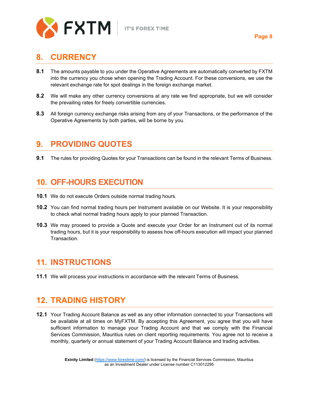

#### **Page 8**

#### <span id="page-8-0"></span>**8. CURRENCY**

- **8.1** The amounts payable to you under the Operative Agreements are automatically converted by FXTM into the currency you chose when opening the Trading Account. For these conversions, we use the relevant exchange rate for spot dealings in the foreign exchange market.
- **8.2** We will make any other currency conversions at any rate we find appropriate, but we will consider the prevailing rates for freely convertible currencies.
- **8.3** All foreign currency exchange risks arising from any of your Transactions, or the performance of the Operative Agreements by both parties, will be borne by you.

#### <span id="page-8-1"></span>**9. PROVIDING QUOTES**

**9.1** The rules for providing Quotes for your Transactions can be found in the relevant Terms of Business.

#### <span id="page-8-2"></span>**10. OFF-HOURS EXECUTION**

- **10.1** We do not execute Orders outside normal trading hours.
- **10.2** You can find normal trading hours per Instrument available on our Website. It is your responsibility to check what normal trading hours apply to your planned Transaction.
- **10.3** We may proceed to provide a Quote and execute your Order for an Instrument out of its normal trading hours, but it is your responsibility to assess how off-hours execution will impact your planned **Transaction**

### <span id="page-8-3"></span>**11. INSTRUCTIONS**

**11.1** We will process your instructions in accordance with the relevant Terms of Business.

### <span id="page-8-4"></span>**12. TRADING HISTORY**

**12.1** Your Trading Account Balance as well as any other information connected to your Transactions will be available at all times on MyFXTM. By accepting this Agreement, you agree that you will have sufficient information to manage your Trading Account and that we comply with the Financial Services Commission, Mauritius rules on client reporting requirements. You agree not to receive a monthly, quarterly or annual statement of your Trading Account Balance and trading activities.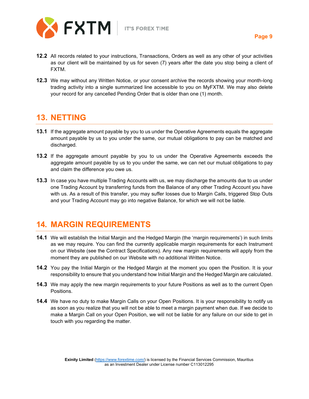

- **12.2** All records related to your instructions, Transactions, Orders as well as any other of your activities as our client will be maintained by us for seven (7) years after the date you stop being a client of FXTM.
- **12.3** We may without any Written Notice, or your consent archive the records showing your month-long trading activity into a single summarized line accessible to you on MyFXTM. We may also delete your record for any cancelled Pending Order that is older than one (1) month.

#### <span id="page-9-0"></span>**13. NETTING**

- **13.1** If the aggregate amount payable by you to us under the Operative Agreements equals the aggregate amount payable by us to you under the same, our mutual obligations to pay can be matched and discharged.
- **13.2** If the aggregate amount payable by you to us under the Operative Agreements exceeds the aggregate amount payable by us to you under the same, we can net our mutual obligations to pay and claim the difference you owe us.
- **13.3** In case you have multiple Trading Accounts with us, we may discharge the amounts due to us under one Trading Account by transferring funds from the Balance of any other Trading Account you have with us. As a result of this transfer, you may suffer losses due to Margin Calls, triggered Stop Outs and your Trading Account may go into negative Balance, for which we will not be liable.

### <span id="page-9-1"></span>**14. MARGIN REQUIREMENTS**

- **14.1** We will establish the Initial Margin and the Hedged Margin (the 'margin requirements') in such limits as we may require. You can find the currently applicable margin requirements for each Instrument on our Website (see the Contract Specifications). Any new margin requirements will apply from the moment they are published on our Website with no additional Written Notice.
- **14.2** You pay the Initial Margin or the Hedged Margin at the moment you open the Position. It is your responsibility to ensure that you understand how Initial Margin and the Hedged Margin are calculated.
- **14.3** We may apply the new margin requirements to your future Positions as well as to the current Open Positions.
- **14.4** We have no duty to make Margin Calls on your Open Positions. It is your responsibility to notify us as soon as you realize that you will not be able to meet a margin payment when due. If we decide to make a Margin Call on your Open Position, we will not be liable for any failure on our side to get in touch with you regarding the matter.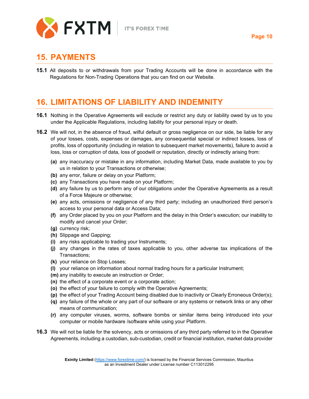

#### <span id="page-10-0"></span>**15. PAYMENTS**

**15.1** All deposits to or withdrawals from your Trading Accounts will be done in accordance with the Regulations for Non-Trading Operations that you can find on our Website.

# <span id="page-10-1"></span>**16. LIMITATIONS OF LIABILITY AND INDEMNITY**

- **16.1** Nothing in the Operative Agreements will exclude or restrict any duty or liability owed by us to you under the Applicable Regulations, including liability for your personal injury or death.
- **16.2** We will not, in the absence of fraud, wilful default or gross negligence on our side, be liable for any of your losses, costs, expenses or damages, any consequential special or indirect losses, loss of profits, loss of opportunity (including in relation to subsequent market movements), failure to avoid a loss, loss or corruption of data, loss of goodwill or reputation, directly or indirectly arising from:
	- **(a)** any inaccuracy or mistake in any information, including Market Data, made available to you by us in relation to your Transactions or otherwise;
	- **(b)** any error, failure or delay on your Platform;
	- **(c)** any Transactions you have made on your Platform;
	- **(d)** any failure by us to perform any of our obligations under the Operative Agreements as a result of a Force Majeure or otherwise;
	- **(e)** any acts, omissions or negligence of any third party; including an unauthorized third person's access to your personal data or Access Data;
	- **(f)** any Order placed by you on your Platform and the delay in this Order's execution; our inability to modify and cancel your Order;
	- **(g)** currency risk;
	- **(h)** Slippage and Gapping;
	- **(i)** any risks applicable to trading your Instruments;
	- **(j)** any changes in the rates of taxes applicable to you, other adverse tax implications of the Transactions;
	- **(k)** your reliance on Stop Losses;
	- **(l)** your reliance on information about normal trading hours for a particular Instrument;
	- **(m)** any inability to execute an instruction or Order;
	- **(n)** the effect of a corporate event or a corporate action;
	- **(o)** the effect of your failure to comply with the Operative Agreements;
	- **(p)** the effect of your Trading Account being disabled due to inactivity or Clearly Erroneous Order(s);
	- **(q)** any failure of the whole or any part of our software or any systems or network links or any other means of communication;
	- **(r)** any computer viruses, worms, software bombs or similar items being introduced into your computer or mobile hardware /software while using your Platform.
- **16.3** We will not be liable for the solvency, acts or omissions of any third party referred to in the Operative Agreements, including a custodian, sub-custodian, credit or financial institution, market data provider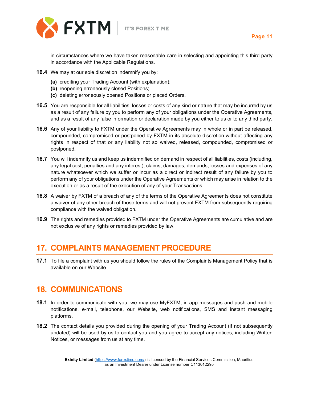

**Page 11**

in circumstances where we have taken reasonable care in selecting and appointing this third party in accordance with the Applicable Regulations.

- **16.4** We may at our sole discretion indemnify you by:
	- **(a)** crediting your Trading Account (with explanation);
	- **(b)** reopening erroneously closed Positions;
	- **(c)** deleting erroneously opened Positions or placed Orders.
- **16.5** You are responsible for all liabilities, losses or costs of any kind or nature that may be incurred by us as a result of any failure by you to perform any of your obligations under the Operative Agreements, and as a result of any false information or declaration made by you either to us or to any third party.
- **16.6** Any of your liability to FXTM under the Operative Agreements may in whole or in part be released, compounded, compromised or postponed by FXTM in its absolute discretion without affecting any rights in respect of that or any liability not so waived, released, compounded, compromised or postponed.
- **16.7** You will indemnify us and keep us indemnified on demand in respect of all liabilities, costs (including, any legal cost, penalties and any interest), claims, damages, demands, losses and expenses of any nature whatsoever which we suffer or incur as a direct or indirect result of any failure by you to perform any of your obligations under the Operative Agreements or which may arise in relation to the execution or as a result of the execution of any of your Transactions.
- **16.8** A waiver by FXTM of a breach of any of the terms of the Operative Agreements does not constitute a waiver of any other breach of those terms and will not prevent FXTM from subsequently requiring compliance with the waived obligation.
- **16.9** The rights and remedies provided to FXTM under the Operative Agreements are cumulative and are not exclusive of any rights or remedies provided by law.

#### <span id="page-11-0"></span>**17. COMPLAINTS MANAGEMENT PROCEDURE**

**17.1** To file a complaint with us you should follow the rules of the Complaints Management Policy that is available on our Website.

#### <span id="page-11-1"></span>**18. COMMUNICATIONS**

- **18.1** In order to communicate with you, we may use MyFXTM, in-app messages and push and mobile notifications, e-mail, telephone, our Website, web notifications, SMS and instant messaging platforms.
- **18.2** The contact details you provided during the opening of your Trading Account (if not subsequently updated) will be used by us to contact you and you agree to accept any notices, including Written Notices, or messages from us at any time.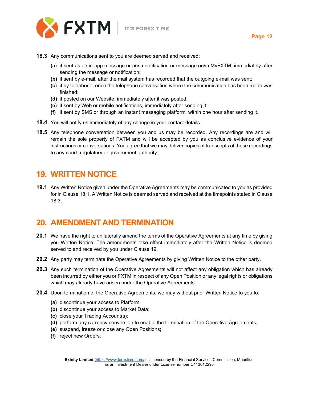

- **18.3** Any communications sent to you are deemed served and received:
	- **(a)** if sent as an in-app message or push notification or message on/in MyFXTM, immediately after sending the message or notification;
	- **(b)** if sent by e-mail, after the mail system has recorded that the outgoing e-mail was sent;
	- **(c)** if by telephone, once the telephone conversation where the communication has been made was finished;
	- **(d)** if posted on our Website, immediately after it was posted;
	- **(e)** if sent by Web or mobile notifications, immediately after sending it;
	- **(f)** if sent by SMS or through an instant messaging platform, within one hour after sending it.
- **18.4** You will notify us immediately of any change in your contact details.
- **18.5** Any telephone conversation between you and us may be recorded. Any recordings are and will remain the sole property of FXTM and will be accepted by you as conclusive evidence of your instructions or conversations. You agree that we may deliver copies of transcripts of these recordings to any court, regulatory or government authority.

#### <span id="page-12-0"></span>**19. WRITTEN NOTICE**

**19.1** Any Written Notice given under the Operative Agreements may be communicated to you as provided for in Clause 18.1. A Written Notice is deemed served and received at the timepoints stated in Clause 18.3.

#### <span id="page-12-1"></span>**20. AMENDMENT AND TERMINATION**

- **20.1** We have the right to unilaterally amend the terms of the Operative Agreements at any time by giving you Written Notice. The amendments take effect immediately after the Written Notice is deemed served to and received by you under Clause 19.
- **20.2** Any party may terminate the Operative Agreements by giving Written Notice to the other party.
- **20.3** Any such termination of the Operative Agreements will not affect any obligation which has already been incurred by either you or FXTM in respect of any Open Position or any legal rights or obligations which may already have arisen under the Operative Agreements.
- **20.4** Upon termination of the Operative Agreements, we may without prior Written Notice to you to:
	- **(a)** discontinue your access to Platform;
	- **(b)** discontinue your access to Market Data;
	- **(c)** close your Trading Account(s);
	- **(d)** perform any currency conversion to enable the termination of the Operative Agreements;
	- **(e)** suspend, freeze or close any Open Positions;
	- **(f)** reject new Orders;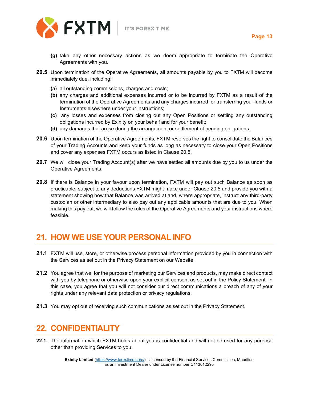

- **20.5** Upon termination of the Operative Agreements, all amounts payable by you to FXTM will become immediately due, including:
	- **(a)** all outstanding commissions, charges and costs;
	- **(b)** any charges and additional expenses incurred or to be incurred by FXTM as a result of the termination of the Operative Agreements and any charges incurred for transferring your funds or Instruments elsewhere under your instructions;
	- **(c)** any losses and expenses from closing out any Open Positions or settling any outstanding obligations incurred by Exinity on your behalf and for your benefit;
	- **(d)** any damages that arose during the arrangement or settlement of pending obligations.
- **20.6** Upon termination of the Operative Agreements, FXTM reserves the right to consolidate the Balances of your Trading Accounts and keep your funds as long as necessary to close your Open Positions and cover any expenses FXTM occurs as listed in Clause 20.5.
- **20.7** We will close your Trading Account(s) after we have settled all amounts due by you to us under the Operative Agreements.
- **20.8** If there is Balance in your favour upon termination, FXTM will pay out such Balance as soon as practicable, subject to any deductions FXTM might make under Clause 20.5 and provide you with a statement showing how that Balance was arrived at and, where appropriate, instruct any third-party custodian or other intermediary to also pay out any applicable amounts that are due to you. When making this pay out, we will follow the rules of the Operative Agreements and your instructions where feasible.

## <span id="page-13-0"></span>**21. HOW WE USE YOUR PERSONAL INFO**

- **21.1** FXTM will use, store, or otherwise process personal information provided by you in connection with the Services as set out in the Privacy Statement on our Website.
- **21.2** You agree that we, for the purpose of marketing our Services and products, may make direct contact with you by telephone or otherwise upon your explicit consent as set out in the Policy Statement. In this case, you agree that you will not consider our direct communications a breach of any of your rights under any relevant data protection or privacy regulations.
- **21.3** You may opt out of receiving such communications as set out in the Privacy Statement.

### <span id="page-13-1"></span>**22. CONFIDENTIALITY**

**22.1.** The information which FXTM holds about you is confidential and will not be used for any purpose other than providing Services to you.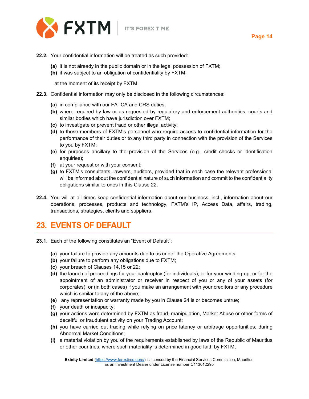

- **22.2.** Your confidential information will be treated as such provided:
	- **(a)** it is not already in the public domain or in the legal possession of FXTM;
	- **(b)** it was subject to an obligation of confidentiality by FXTM;

at the moment of its receipt by FXTM.

- **22.3.** Confidential information may only be disclosed in the following circumstances:
	- **(a)** in compliance with our FATCA and CRS duties;
	- **(b)** where required by law or as requested by regulatory and enforcement authorities, courts and similar bodies which have jurisdiction over FXTM;
	- **(c)** to investigate or prevent fraud or other illegal activity;
	- **(d)** to those members of FXTM's personnel who require access to confidential information for the performance of their duties or to any third party in connection with the provision of the Services to you by FXTM;
	- **(e)** for purposes ancillary to the provision of the Services (e.g., credit checks or identification enquiries);
	- **(f)** at your request or with your consent;
	- **(g)** to FXTM's consultants, lawyers, auditors, provided that in each case the relevant professional will be informed about the confidential nature of such information and commit to the confidentiality obligations similar to ones in this Clause 22.
- **22.4.** You will at all times keep confidential information about our business, incl., information about our operations, processes, products and technology, FXTM's IP, Access Data, affairs, trading, transactions, strategies, clients and suppliers.

### <span id="page-14-0"></span>**23. EVENTS OF DEFAULT**

- **23.1.** Each of the following constitutes an "Event of Default":
	- **(a)** your failure to provide any amounts due to us under the Operative Agreements;
	- **(b)** your failure to perform any obligations due to FXTM;
	- **(c)** your breach of Clauses 14,15 or 22;
	- **(d)** the launch of proceedings for your bankruptcy (for individuals); or for your winding-up, or for the appointment of an administrator or receiver in respect of you or any of your assets (for corporates); or (in both cases) if you make an arrangement with your creditors or any procedure which is similar to any of the above;
	- **(e)** any representation or warranty made by you in Clause 24 is or becomes untrue;
	- **(f)** your death or incapacity;
	- **(g)** your actions were determined by FXTM as fraud, manipulation, Market Abuse or other forms of deceitful or fraudulent activity on your Trading Account;
	- **(h)** you have carried out trading while relying on price latency or arbitrage opportunities; during Abnormal Market Conditions;
	- **(i)** a material violation by you of the requirements established by laws of the Republic of Mauritius or other countries, where such materiality is determined in good faith by FXTM;

**Exinity Limited** [\(https://www.forextime.com/\)](https://www.forextime.com/) is licensed by the Financial Services Commission, Mauritius as an Investment Dealer under License number C113012295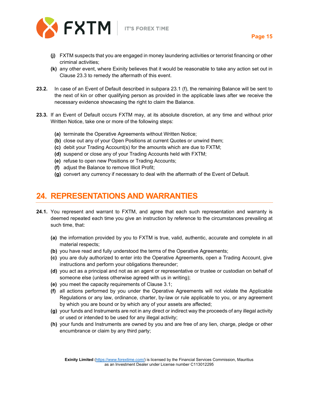

- **(j)** FXTM suspects that you are engaged in money laundering activities or terrorist financing or other criminal activities;
- **(k)** any other event, where Exinity believes that it would be reasonable to take any action set out in Clause 23.3 to remedy the aftermath of this event.
- **23.2.** In case of an Event of Default described in subpara 23.1 (f), the remaining Balance will be sent to the next of kin or other qualifying person as provided in the applicable laws after we receive the necessary evidence showcasing the right to claim the Balance.
- **23.3.** If an Event of Default occurs FXTM may, at its absolute discretion, at any time and without prior Written Notice, take one or more of the following steps:
	- **(a)** terminate the Operative Agreements without Written Notice;
	- **(b)** close out any of your Open Positions at current Quotes or unwind them;
	- **(c)** debit your Trading Account(s) for the amounts which are due to FXTM;
	- **(d)** suspend or close any of your Trading Accounts held with FXTM;
	- **(e)** refuse to open new Positions or Trading Accounts;
	- **(f)** adjust the Balance to remove Illicit Profit;
	- **(g)** convert any currency if necessary to deal with the aftermath of the Event of Default.

#### <span id="page-15-0"></span>**24. REPRESENTATIONS AND WARRANTIES**

- **24.1.** You represent and warrant to FXTM, and agree that each such representation and warranty is deemed repeated each time you give an instruction by reference to the circumstances prevailing at such time, that:
	- **(a)** the information provided by you to FXTM is true, valid, authentic, accurate and complete in all material respects;
	- **(b)** you have read and fully understood the terms of the Operative Agreements;
	- **(c)** you are duly authorized to enter into the Operative Agreements, open a Trading Account, give instructions and perform your obligations thereunder;
	- **(d)** you act as a principal and not as an agent or representative or trustee or custodian on behalf of someone else (unless otherwise agreed with us in writing);
	- **(e)** you meet the capacity requirements of Clause 3.1;
	- **(f)** all actions performed by you under the Operative Agreements will not violate the Applicable Regulations or any law, ordinance, charter, by-law or rule applicable to you, or any agreement by which you are bound or by which any of your assets are affected;
	- **(g)** your funds and Instruments are not in any direct or indirect way the proceeds of any illegal activity or used or intended to be used for any illegal activity;
	- **(h)** your funds and Instruments are owned by you and are free of any lien, charge, pledge or other encumbrance or claim by any third party;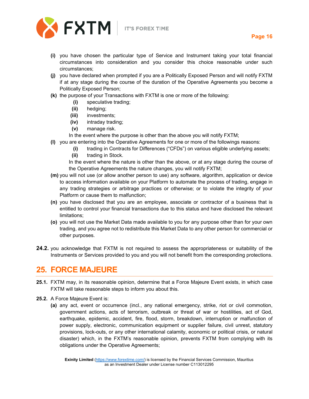

- **(i)** you have chosen the particular type of Service and Instrument taking your total financial circumstances into consideration and you consider this choice reasonable under such circumstances;
- **(j)** you have declared when prompted if you are a Politically Exposed Person and will notify FXTM if at any stage during the course of the duration of the Operative Agreements you become a Politically Exposed Person;
- **(k)** the purpose of your Transactions with FXTM is one or more of the following:
	- **(i)** speculative trading;
	- **(ii)** hedging;
	- **(iii)** investments;
	- **(iv)** intraday trading;
	- **(v)** manage risk.
	- In the event where the purpose is other than the above you will notify FXTM;
- **(l)** you are entering into the Operative Agreements for one or more of the followings reasons:
	- **(i)** trading in Contracts for Differences ("CFDs") on various eligible underlying assets;
	- **(ii)** trading in Stock.

In the event where the nature is other than the above, or at any stage during the course of the Operative Agreements the nature changes, you will notify FXTM;

- **(m)** you will not use (or allow another person to use) any software, algorithm, application or device to access information available on your Platform to automate the process of trading, engage in any trading strategies or arbitrage practices or otherwise; or to violate the integrity of your Platform or cause them to malfunction;
- **(n)** you have disclosed that you are an employee, associate or contractor of a business that is entitled to control your financial transactions due to this status and have disclosed the relevant limitations;
- **(o)** you will not use the Market Data made available to you for any purpose other than for your own trading, and you agree not to redistribute this Market Data to any other person for commercial or other purposes.
- **24.2.** you acknowledge that FXTM is not required to assess the appropriateness or suitability of the Instruments or Services provided to you and you will not benefit from the corresponding protections.

### <span id="page-16-0"></span>**25. FORCE MAJEURE**

- **25.1.** FXTM may, in its reasonable opinion, determine that a Force Majeure Event exists, in which case FXTM will take reasonable steps to inform you about this.
- **25.2.** A Force Majeure Event is:
	- **(a)** any act, event or occurrence (incl., any national emergency, strike, riot or civil commotion, government actions, acts of terrorism, outbreak or threat of war or hostilities, act of God, earthquake, epidemic, accident, fire, flood, storm, breakdown, interruption or malfunction of power supply, electronic, communication equipment or supplier failure, civil unrest, statutory provisions, lock-outs, or any other international calamity, economic or political crisis, or natural disaster) which, in the FXTM's reasonable opinion, prevents FXTM from complying with its obligations under the Operative Agreements;

**Exinity Limited** [\(https://www.forextime.com/\)](https://www.forextime.com/) is licensed by the Financial Services Commission, Mauritius as an Investment Dealer under License number C113012295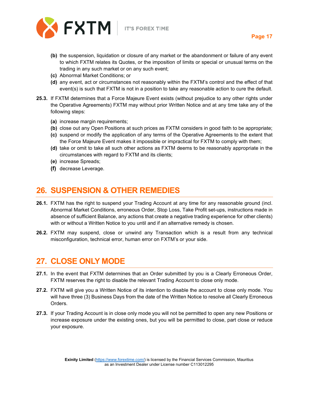



- **(b)** the suspension, liquidation or closure of any market or the abandonment or failure of any event to which FXTM relates its Quotes, or the imposition of limits or special or unusual terms on the trading in any such market or on any such event;
- **(c)** Abnormal Market Conditions; or
- **(d)** any event, act or circumstances not reasonably within the FXTM's control and the effect of that event(s) is such that FXTM is not in a position to take any reasonable action to cure the default.
- **25.3.** If FXTM determines that a Force Majeure Event exists (without prejudice to any other rights under the Operative Agreements) FXTM may without prior Written Notice and at any time take any of the following steps:
	- **(a)** increase margin requirements;
	- **(b)** close out any Open Positions at such prices as FXTM considers in good faith to be appropriate;
	- **(c)** suspend or modify the application of any terms of the Operative Agreements to the extent that the Force Majeure Event makes it impossible or impractical for FXTM to comply with them;
	- **(d)** take or omit to take all such other actions as FXTM deems to be reasonably appropriate in the circumstances with regard to FXTM and its clients;
	- **(e)** increase Spreads;
	- **(f)** decrease Leverage.

#### <span id="page-17-0"></span>**26. SUSPENSION & OTHER REMEDIES**

- **26.1.** FXTM has the right to suspend your Trading Account at any time for any reasonable ground (incl. Abnormal Market Conditions, erroneous Order, Stop Loss, Take Profit set-ups, instructions made in absence of sufficient Balance, any actions that create a negative trading experience for other clients) with or without a Written Notice to you until and if an alternative remedy is chosen.
- **26.2.** FXTM may suspend, close or unwind any Transaction which is a result from any technical misconfiguration, technical error, human error on FXTM's or your side.

#### <span id="page-17-1"></span>**27. CLOSE ONLY MODE**

- **27.1.** In the event that FXTM determines that an Order submitted by you is a Clearly Erroneous Order, FXTM reserves the right to disable the relevant Trading Account to close only mode.
- **27.2.** FXTM will give you a Written Notice of its intention to disable the account to close only mode. You will have three (3) Business Days from the date of the Written Notice to resolve all Clearly Erroneous Orders.
- **27.3.** If your Trading Account is in close only mode you will not be permitted to open any new Positions or increase exposure under the existing ones, but you will be permitted to close, part close or reduce your exposure.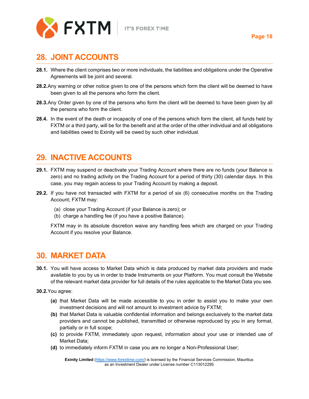

#### <span id="page-18-0"></span>**28. JOINT ACCOUNTS**

- **28.1.** Where the client comprises two or more individuals, the liabilities and obligations under the Operative Agreements will be joint and several.
- **28.2.**Any warning or other notice given to one of the persons which form the client will be deemed to have been given to all the persons who form the client.
- **28.3.**Any Order given by one of the persons who form the client will be deemed to have been given by all the persons who form the client.
- **28.4.** In the event of the death or incapacity of one of the persons which form the client, all funds held by FXTM or a third party, will be for the benefit and at the order of the other individual and all obligations and liabilities owed to Exinity will be owed by such other individual.

#### <span id="page-18-1"></span>**29. INACTIVE ACCOUNTS**

- **29.1.** FXTM may suspend or deactivate your Trading Account where there are no funds (your Balance is zero) and no trading activity on the Trading Account for a period of thirty (30) calendar days. In this case, you may regain access to your Trading Account by making a deposit.
- **29.2.** If you have not transacted with FXTM for a period of six (6) consecutive months on the Trading Account; FXTM may:
	- (a) close your Trading Account (if your Balance is zero); or
	- (b) charge a handling fee (if you have a positive Balance).

FXTM may in its absolute discretion waive any handling fees which are charged on your Trading Account if you resolve your Balance.

#### <span id="page-18-2"></span>**30. MARKET DATA**

- **30.1.** You will have access to Market Data which is data produced by market data providers and made available to you by us in order to trade Instruments on your Platform. You must consult the Website of the relevant market data provider for full details of the rules applicable to the Market Data you see.
- **30.2.**You agree:
	- **(a)** that Market Data will be made accessible to you in order to assist you to make your own investment decisions and will not amount to investment advice by FXTM;
	- **(b)** that Market Data is valuable confidential information and belongs exclusively to the market data providers and cannot be published, transmitted or otherwise reproduced by you in any format, partially or in full scope;
	- **(c)** to provide FXTM, immediately upon request, information about your use or intended use of Market Data;
	- **(d)** to immediately inform FXTM in case you are no longer a Non-Professional User;

**Exinity Limited** [\(https://www.forextime.com/\)](https://www.forextime.com/) is licensed by the Financial Services Commission, Mauritius as an Investment Dealer under License number C113012295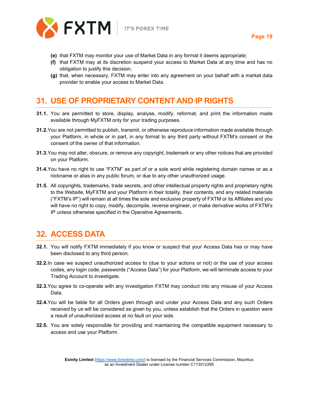

- **(e)** that FXTM may monitor your use of Market Data in any format it deems appropriate;
- **(f)** that FXTM may at its discretion suspend your access to Market Data at any time and has no obligation to justify this decision;
- **(g)** that, when necessary, FXTM may enter into any agreement on your behalf with a market data provider to enable your access to Market Data.

#### <span id="page-19-0"></span>**31. USE OF PROPRIETARY CONTENT AND IP RIGHTS**

- **31.1.** You are permitted to store, display, analyse, modify, reformat, and print the information made available through MyFXTM only for your trading purposes.
- **31.2.**You are not permitted to publish, transmit, or otherwise reproduce information made available through your Platform, in whole or in part, in any format to any third party without FXTM's consent or the consent of the owner of that information.
- **31.3.**You may not alter, obscure, or remove any copyright, trademark or any other notices that are provided on your Platform.
- **31.4.**You have no right to use "FXTM" as part of or a sole word while registering domain names or as a nickname or alias in any public forum, or due to any other unauthorized usage.
- **31.5.** All copyrights, trademarks, trade secrets, and other intellectual property rights and proprietary rights to the Website, MyFXTM and your Platform in their totality, their contents, and any related materials ("FXTM's IP") will remain at all times the sole and exclusive property of FXTM or its Affiliates and you will have no right to copy, modify, decompile, reverse engineer, or make derivative works of FXTM's IP unless otherwise specified in the Operative Agreements.

### <span id="page-19-1"></span>**32. ACCESS DATA**

- **32.1.** You will notify FXTM immediately if you know or suspect that your Access Data has or may have been disclosed to any third person.
- **32.2.**In case we suspect unauthorized access to (due to your actions or not) or the use of your access codes, any login code, passwords ("Access Data") for your Platform, we will terminate access to your Trading Account to investigate.
- **32.3.**You agree to co-operate with any investigation FXTM may conduct into any misuse of your Access Data.
- **32.4.**You will be liable for all Orders given through and under your Access Data and any such Orders received by us will be considered as given by you, unless establish that the Orders in question were a result of unauthorized access at no fault on your side.
- **32.5.** You are solely responsible for providing and maintaining the compatible equipment necessary to access and use your Platform.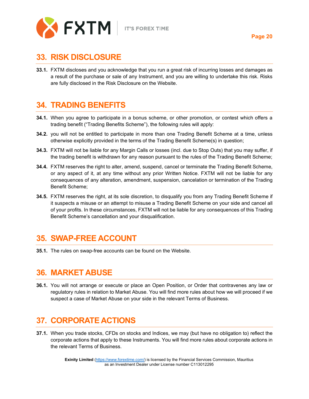

#### <span id="page-20-0"></span>**33. RISK DISCLOSURE**

**33.1.** FXTM discloses and you acknowledge that you run a great risk of incurring losses and damages as a result of the purchase or sale of any Instrument, and you are willing to undertake this risk. Risks are fully disclosed in the Risk Disclosure on the Website.

#### <span id="page-20-1"></span>**34. TRADING BENEFITS**

- **34.1.** When you agree to participate in a bonus scheme, or other promotion, or contest which offers a trading benefit ("Trading Benefits Scheme"), the following rules will apply:
- **34.2.** you will not be entitled to participate in more than one Trading Benefit Scheme at a time, unless otherwise explicitly provided in the terms of the Trading Benefit Scheme(s) in question;
- **34.3.** FXTM will not be liable for any Margin Calls or losses (incl. due to Stop Outs) that you may suffer, if the trading benefit is withdrawn for any reason pursuant to the rules of the Trading Benefit Scheme;
- **34.4.** FXTM reserves the right to alter, amend, suspend, cancel or terminate the Trading Benefit Scheme, or any aspect of it, at any time without any prior Written Notice. FXTM will not be liable for any consequences of any alteration, amendment, suspension, cancelation or termination of the Trading Benefit Scheme;
- **34.5.** FXTM reserves the right, at its sole discretion, to disqualify you from any Trading Benefit Scheme if it suspects a misuse or an attempt to misuse a Trading Benefit Scheme on your side and cancel all of your profits. In these circumstances, FXTM will not be liable for any consequences of this Trading Benefit Scheme's cancellation and your disqualification.

### <span id="page-20-2"></span>**35. SWAP-FREE ACCOUNT**

**35.1.** The rules on swap-free accounts can be found on the Website.

#### <span id="page-20-3"></span>**36. MARKET ABUSE**

**36.1.** You will not arrange or execute or place an Open Position, or Order that contravenes any law or regulatory rules in relation to Market Abuse. You will find more rules about how we will proceed if we suspect a case of Market Abuse on your side in the relevant Terms of Business.

### <span id="page-20-4"></span>**37. CORPORATE ACTIONS**

**37.1.** When you trade stocks, CFDs on stocks and Indices, we may (but have no obligation to) reflect the corporate actions that apply to these Instruments. You will find more rules about corporate actions in the relevant Terms of Business.

> **Exinity Limited** [\(https://www.forextime.com/\)](https://www.forextime.com/) is licensed by the Financial Services Commission, Mauritius as an Investment Dealer under License number C113012295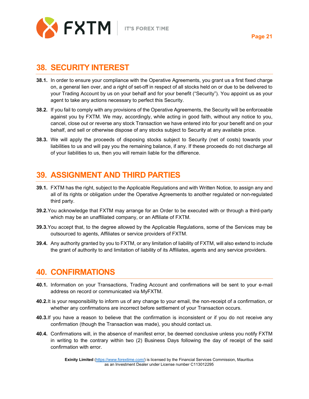

#### <span id="page-21-0"></span>**38. SECURITY INTEREST**

- **38.1.** In order to ensure your compliance with the Operative Agreements, you grant us a first fixed charge on, a general lien over, and a right of set-off in respect of all stocks held on or due to be delivered to your Trading Account by us on your behalf and for your benefit ("Security"). You appoint us as your agent to take any actions necessary to perfect this Security.
- **38.2.** If you fail to comply with any provisions of the Operative Agreements, the Security will be enforceable against you by FXTM. We may, accordingly, while acting in good faith, without any notice to you, cancel, close out or reverse any stock Transaction we have entered into for your benefit and on your behalf, and sell or otherwise dispose of any stocks subject to Security at any available price.
- **38.3.** We will apply the proceeds of disposing stocks subject to Security (net of costs) towards your liabilities to us and will pay you the remaining balance, if any. If these proceeds do not discharge all of your liabilities to us, then you will remain liable for the difference.

### <span id="page-21-1"></span>**39. ASSIGNMENT AND THIRD PARTIES**

- **39.1.** FXTM has the right, subject to the Applicable Regulations and with Written Notice, to assign any and all of its rights or obligation under the Operative Agreements to another regulated or non-regulated third party.
- **39.2.**You acknowledge that FXTM may arrange for an Order to be executed with or through a third-party which may be an unaffiliated company, or an Affiliate of FXTM.
- **39.3.**You accept that, to the degree allowed by the Applicable Regulations, some of the Services may be outsourced to agents, Affiliates or service providers of FXTM.
- **39.4.** Any authority granted by you to FXTM, or any limitation of liability of FXTM, will also extend to include the grant of authority to and limitation of liability of its Affiliates, agents and any service providers.

#### <span id="page-21-2"></span>**40. CONFIRMATIONS**

- **40.1.** Information on your Transactions, Trading Account and confirmations will be sent to your e-mail address on record or communicated via MyFXTM.
- **40.2.**It is your responsibility to inform us of any change to your email, the non-receipt of a confirmation, or whether any confirmations are incorrect before settlement of your Transaction occurs.
- **40.3.**If you have a reason to believe that the confirmation is inconsistent or if you do not receive any confirmation (though the Transaction was made), you should contact us.
- **40.4.** Confirmations will, in the absence of manifest error, be deemed conclusive unless you notify FXTM in writing to the contrary within two (2) Business Days following the day of receipt of the said confirmation with error.

**Exinity Limited** [\(https://www.forextime.com/\)](https://www.forextime.com/) is licensed by the Financial Services Commission, Mauritius as an Investment Dealer under License number C113012295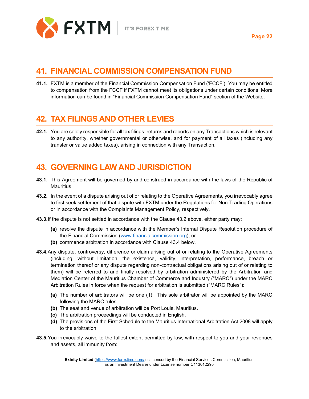

# <span id="page-22-0"></span>**41. FINANCIAL COMMISSION COMPENSATION FUND**

**41.1.** FXTM is a member of the Financial Commission Compensation Fund ('FCCF'). You may be entitled to compensation from the FCCF if FXTM cannot meet its obligations under certain conditions. More information can be found in "Financial Commission Compensation Fund" section of the Website.

### <span id="page-22-1"></span>**42. TAX FILINGS AND OTHER LEVIES**

**42.1.** You are solely responsible for all tax filings, returns and reports on any Transactions which is relevant to any authority, whether governmental or otherwise, and for payment of all taxes (including any transfer or value added taxes), arising in connection with any Transaction.

#### <span id="page-22-2"></span>**43. GOVERNING LAW AND JURISDICTION**

- **43.1.** This Agreement will be governed by and construed in accordance with the laws of the Republic of Mauritius.
- **43.2.** In the event of a dispute arising out of or relating to the Operative Agreements, you irrevocably agree to first seek settlement of that dispute with FXTM under the Regulations for Non-Trading Operations or in accordance with the Complaints Management Policy, respectively.
- **43.3.**If the dispute is not settled in accordance with the Clause 43.2 above, either party may:
	- **(a)** resolve the dispute in accordance with the Member's Internal Dispute Resolution procedure of the Financial Commission [\(www.financialcommission.org\)](http://www.financialcommission.org/); or
	- **(b)** commence arbitration in accordance with Clause 43.4 below.
- **43.4.**Any dispute, controversy, difference or claim arising out of or relating to the Operative Agreements (including, without limitation, the existence, validity, interpretation, performance, breach or termination thereof or any dispute regarding non-contractual obligations arising out of or relating to them) will be referred to and finally resolved by arbitration administered by the Arbitration and Mediation Center of the Mauritius Chamber of Commerce and Industry ("MARC") under the MARC Arbitration Rules in force when the request for arbitration is submitted ("MARC Rules"):
	- **(a)** The number of arbitrators will be one (1). This sole arbitrator will be appointed by the MARC following the MARC rules.
	- **(b)** The seat and venue of arbitration will be Port Louis, Mauritius.
	- **(c)** The arbitration proceedings will be conducted in English.
	- **(d)** The provisions of the First Schedule to the Mauritius International Arbitration Act 2008 will apply to the arbitration.
- **43.5.**You irrevocably waive to the fullest extent permitted by law, with respect to you and your revenues and assets, all immunity from: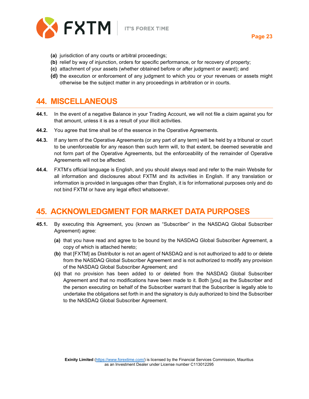

**Page 23**

- **(a)** jurisdiction of any courts or arbitral proceedings;
- **(b)** relief by way of injunction, orders for specific performance, or for recovery of property;
- **(c)** attachment of your assets (whether obtained before or after judgment or award); and
- **(d)** the execution or enforcement of any judgment to which you or your revenues or assets might otherwise be the subject matter in any proceedings in arbitration or in courts.

#### <span id="page-23-0"></span>**44. MISCELLANEOUS**

- **44.1.** In the event of a negative Balance in your Trading Account, we will not file a claim against you for that amount, unless it is as a result of your illicit activities.
- **44.2.** You agree that time shall be of the essence in the Operative Agreements.
- **44.3.** If any term of the Operative Agreements (or any part of any term) will be held by a tribunal or court to be unenforceable for any reason then such term will, to that extent, be deemed severable and not form part of the Operative Agreements, but the enforceability of the remainder of Operative Agreements will not be affected.
- **44.4.** FXTM's official language is English, and you should always read and refer to the main Website for all information and disclosures about FXTM and its activities in English. If any translation or information is provided in languages other than English, it is for informational purposes only and do not bind FXTM or have any legal effect whatsoever.

### <span id="page-23-1"></span>**45. ACKNOWLEDGMENT FOR MARKET DATA PURPOSES**

- **45.1.** By executing this Agreement, you (known as "Subscriber" in the NASDAQ Global Subscriber Agreement) agree:
	- **(a)** that you have read and agree to be bound by the NASDAQ Global Subscriber Agreement, a copy of which is attached hereto;
	- **(b)** that [FXTM] as Distributor is not an agent of NASDAQ and is not authorized to add to or delete from the NASDAQ Global Subscriber Agreement and is not authorized to modify any provision of the NASDAQ Global Subscriber Agreement; and
	- **(c)** that no provision has been added to or deleted from the NASDAQ Global Subscriber Agreement and that no modifications have been made to it. Both [you] as the Subscriber and the person executing on behalf of the Subscriber warrant that the Subscriber is legally able to undertake the obligations set forth in and the signatory is duly authorized to bind the Subscriber to the NASDAQ Global Subscriber Agreement.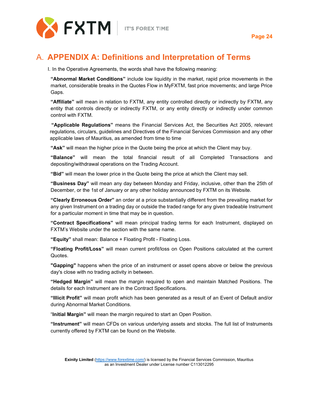

# <span id="page-24-0"></span>A. **APPENDIX A: Definitions and Interpretation of Terms**

I. In the Operative Agreements, the words shall have the following meaning:

**"Abnormal Market Conditions"** include low liquidity in the market, rapid price movements in the market, considerable breaks in the Quotes Flow in MyFXTM, fast price movements; and large Price Gaps.

**"Affiliate"** will mean in relation to FXTM, any entity controlled directly or indirectly by FXTM, any entity that controls directly or indirectly FXTM, or any entity directly or indirectly under common control with FXTM.

**"Applicable Regulations"** means the Financial Services Act, the Securities Act 2005, relevant regulations, circulars, guidelines and Directives of the Financial Services Commission and any other applicable laws of Mauritius, as amended from time to time

**"Ask"** will mean the higher price in the Quote being the price at which the Client may buy.

**"Balance"** will mean the total financial result of all Completed Transactions and depositing/withdrawal operations on the Trading Account.

**"Bid"** will mean the lower price in the Quote being the price at which the Client may sell.

**"Business Day"** will mean any day between Monday and Friday, inclusive, other than the 25th of December, or the 1st of January or any other holiday announced by FXTM on its Website.

**"Clearly Erroneous Order"** an order at a price substantially different from the prevailing market for any given Instrument on a trading day or outside the traded range for any given tradeable Instrument for a particular moment in time that may be in question.

**"Contract Specifications"** will mean principal trading terms for each Instrument, displayed on FXTM's Website under the section with the same name.

**"Equity"** shall mean: Balance + Floating Profit - Floating Loss.

**"Floating Profit/Loss"** will mean current profit/loss on Open Positions calculated at the current Quotes.

**"Gapping"** happens when the price of an instrument or asset opens above or below the previous day's close with no trading activity in between.

**"Hedged Margin"** will mean the margin required to open and maintain Matched Positions. The details for each Instrument are in the Contract Specifications.

**"Illicit Profit"** will mean profit which has been generated as a result of an Event of Default and/or during Abnormal Market Conditions.

"**Initial Margin"** will mean the margin required to start an Open Position.

**"Instrument"** will mean CFDs on various underlying assets and stocks. The full list of Instruments currently offered by FXTM can be found on the Website.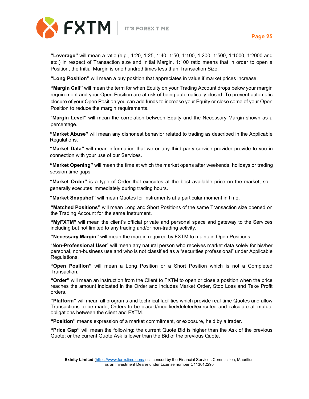



**Page 25**

**"Leverage"** will mean a ratio (e.g., 1:20, 1:25, 1:40, 1:50, 1:100, 1:200, 1:500, 1:1000, 1:2000 and etc.) in respect of Transaction size and Initial Margin. 1:100 ratio means that in order to open a Position, the Initial Margin is one hundred times less than Transaction Size.

**"Long Position"** will mean a buy position that appreciates in value if market prices increase.

**"Margin Call"** will mean the term for when Equity on your Trading Account drops below your margin requirement and your Open Position are at risk of being automatically closed. To prevent automatic closure of your Open Position you can add funds to increase your Equity or close some of your Open Position to reduce the margin requirements.

"**Margin Level"** will mean the correlation between Equity and the Necessary Margin shown as a percentage.

**"Market Abuse"** will mean any dishonest behavior related to trading as described in the Applicable Regulations.

**"Market Data"** will mean information that we or any third-party service provider provide to you in connection with your use of our Services.

**"Market Opening"** will mean the time at which the market opens after weekends, holidays or trading session time gaps.

**"Market Order"** is a type of Order that executes at the best available price on the market, so it generally executes immediately during trading hours.

**"Market Snapshot"** will mean Quotes for instruments at a particular moment in time.

**"Matched Positions"** will mean Long and Short Positions of the same Transaction size opened on the Trading Account for the same Instrument.

**"MyFXTM"** will mean the client's official private and personal space and gateway to the Services including but not limited to any trading and/or non-trading activity.

**"Necessary Margin"** will mean the margin required by FXTM to maintain Open Positions.

"**Non-Professional User**" will mean any natural person who receives market data solely for his/her personal, non-business use and who is not classified as a "securities professional" under Applicable Regulations.

**"Open Position"** will mean a Long Position or a Short Position which is not a Completed Transaction.

**"Order"** will mean an instruction from the Client to FXTM to open or close a position when the price reaches the amount indicated in the Order and includes Market Order, Stop Loss and Take Profit orders.

**"Platform"** will mean all programs and technical facilities which provide real-time Quotes and allow Transactions to be made, Orders to be placed/modified/deleted/executed and calculate all mutual obligations between the client and FXTM.

**"Position"** means expression of a market commitment, or exposure, held by a trader.

**"Price Gap"** will mean the following: the current Quote Bid is higher than the Ask of the previous Quote; or the current Quote Ask is lower than the Bid of the previous Quote.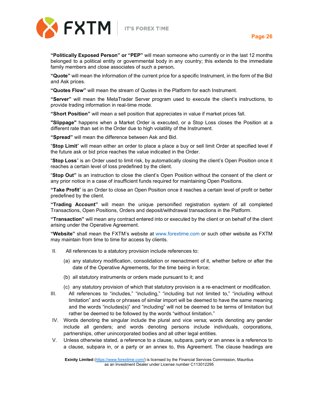



**"Politically Exposed Person" or "PEP"** will mean someone who currently or in the last 12 months belonged to a political entity or governmental body in any country; this extends to the immediate family members and close associates of such a person**.**

**"Quote"** will mean the information of the current price for a specific Instrument, in the form of the Bid and Ask prices.

**"Quotes Flow"** will mean the stream of Quotes in the Platform for each Instrument.

**"Server"** will mean the MetaTrader Server program used to execute the client's instructions, to provide trading information in real-time mode.

**"Short Position"** will mean a sell position that appreciates in value if market prices fall.

**"Slippage"** happens when a Market Order is executed, or a Stop Loss closes the Position at a different rate than set in the Order due to high volatility of the Instrument.

**"Spread"** will mean the difference between Ask and Bid.

"**Stop Limit**" will mean either an order to place a place a buy or sell limit Order at specified level if the future ask or bid price reaches the value indicated in the Order.

"**Stop Loss**" is an Order used to limit risk, by automatically closing the client's Open Position once it reaches a certain level of loss predefined by the client.

"**Stop Out"** is an instruction to close the client's Open Position without the consent of the client or any prior notice in a case of insufficient funds required for maintaining Open Positions.

**"Take Profit**" is an Order to close an Open Position once it reaches a certain level of profit or better predefined by the client.

**"Trading Account"** will mean the unique personified registration system of all completed Transactions, Open Positions, Orders and deposit/withdrawal transactions in the Platform.

**"Transaction"** will mean any contract entered into or executed by the client or on behalf of the client arising under the Operative Agreement.

**"Website"** shall mean the FXTM's website at [www.forextime.com](http://www.forextime.com/) or such other website as FXTM may maintain from time to time for access by clients.

- II. All references to a statutory provision include references to:
	- (a) any statutory modification, consolidation or reenactment of it, whether before or after the date of the Operative Agreements, for the time being in force;
	- (b) all statutory instruments or orders made pursuant to it; and
	- (c) any statutory provision of which that statutory provision is a re‐enactment or modification.
- III. All references to "includes," "including," "including but not limited to," "including without limitation" and words or phrases of similar import will be deemed to have the same meaning and the words "includes(s)" and "including" will not be deemed to be terms of limitation but rather be deemed to be followed by the words "without limitation."
- IV. Words denoting the singular include the plural and vice versa; words denoting any gender include all genders; and words denoting persons include individuals, corporations, partnerships, other unincorporated bodies and all other legal entities.
- V. Unless otherwise stated, a reference to a clause, subpara, party or an annex is a reference to a clause, subpara in, or a party or an annex to, this Agreement. The clause headings are

**Exinity Limited** [\(https://www.forextime.com/\)](https://www.forextime.com/) is licensed by the Financial Services Commission, Mauritius as an Investment Dealer under License number C113012295